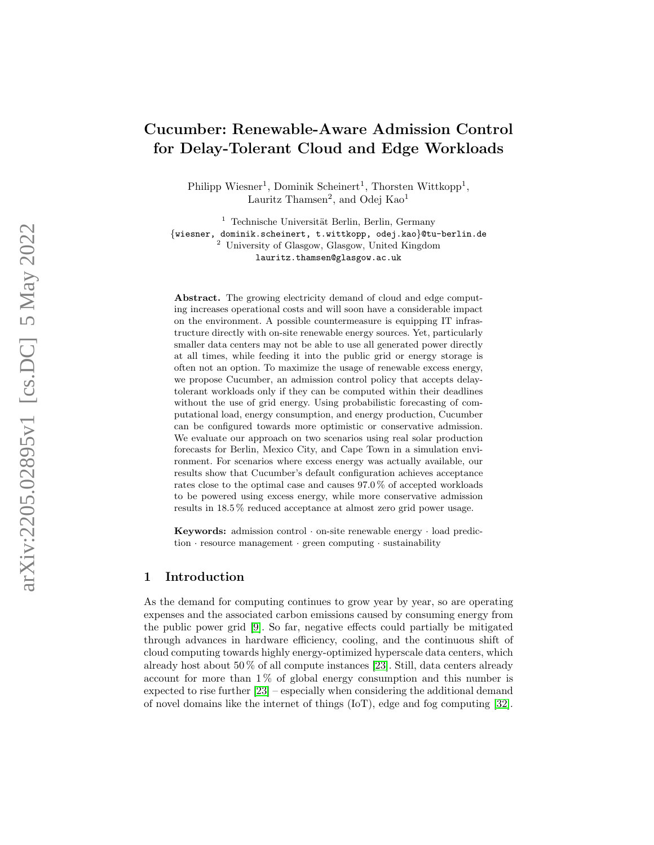# Cucumber: Renewable-Aware Admission Control for Delay-Tolerant Cloud and Edge Workloads

Philipp Wiesner<sup>1</sup>, Dominik Scheinert<sup>1</sup>, Thorsten Wittkopp<sup>1</sup>, Lauritz Thamsen<sup>2</sup>, and Odej Kao<sup>1</sup>

 $1$  Technische Universität Berlin, Berlin, Germany {wiesner, dominik.scheinert, t.wittkopp, odej.kao }@tu-berlin.de <sup>2</sup> University of Glasgow, Glasgow, United Kingdom lauritz.thamsen@glasgow.ac.uk

Abstract. The growing electricity demand of cloud and edge computing increases operational costs and will soon have a considerable impact on the environment. A possible countermeasure is equipping IT infrastructure directly with on-site renewable energy sources. Yet, particularly smaller data centers may not be able to use all generated power directly at all times, while feeding it into the public grid or energy storage is often not an option. To maximize the usage of renewable excess energy, we propose Cucumber, an admission control policy that accepts delaytolerant workloads only if they can be computed within their deadlines without the use of grid energy. Using probabilistic forecasting of computational load, energy consumption, and energy production, Cucumber can be configured towards more optimistic or conservative admission. We evaluate our approach on two scenarios using real solar production forecasts for Berlin, Mexico City, and Cape Town in a simulation environment. For scenarios where excess energy was actually available, our results show that Cucumber's default configuration achieves acceptance rates close to the optimal case and causes 97.0 % of accepted workloads to be powered using excess energy, while more conservative admission results in 18.5 % reduced acceptance at almost zero grid power usage.

Keywords: admission control · on-site renewable energy · load prediction · resource management · green computing · sustainability

## <span id="page-0-0"></span>1 Introduction

As the demand for computing continues to grow year by year, so are operating expenses and the associated carbon emissions caused by consuming energy from the public power grid [\[9\]](#page-13-0). So far, negative effects could partially be mitigated through advances in hardware efficiency, cooling, and the continuous shift of cloud computing towards highly energy-optimized hyperscale data centers, which already host about 50 % of all compute instances [\[23\]](#page-14-0). Still, data centers already account for more than  $1\%$  of global energy consumption and this number is expected to rise further [\[23\]](#page-14-0) – especially when considering the additional demand of novel domains like the internet of things (IoT), edge and fog computing [\[32\]](#page-14-1).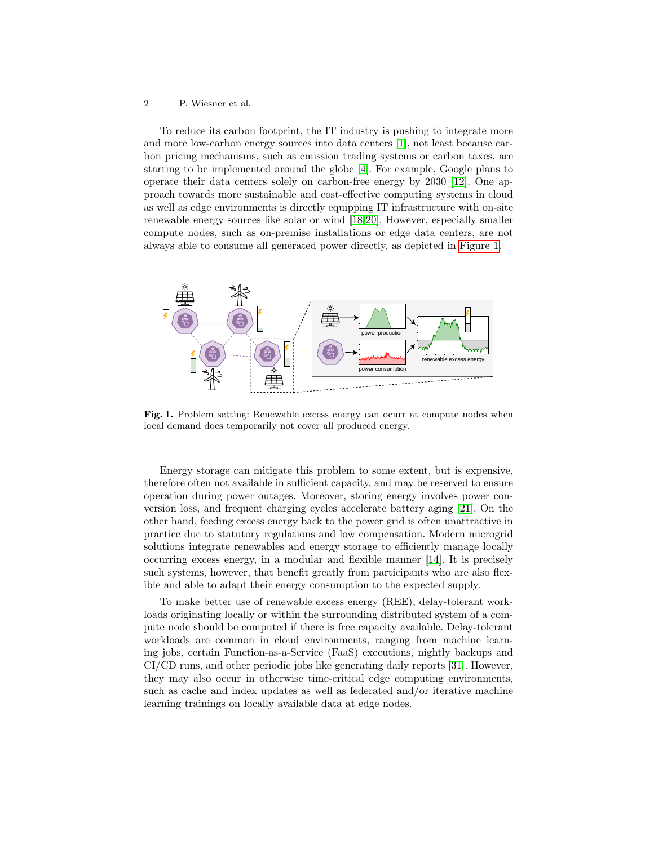To reduce its carbon footprint, the IT industry is pushing to integrate more and more low-carbon energy sources into data centers [\[1\]](#page-13-1), not least because carbon pricing mechanisms, such as emission trading systems or carbon taxes, are starting to be implemented around the globe [\[4\]](#page-13-2). For example, Google plans to operate their data centers solely on carbon-free energy by 2030 [\[12\]](#page-13-3). One approach towards more sustainable and cost-effective computing systems in cloud as well as edge environments is directly equipping IT infrastructure with on-site renewable energy sources like solar or wind [\[18,](#page-13-4)[20\]](#page-14-2). However, especially smaller compute nodes, such as on-premise installations or edge data centers, are not always able to consume all generated power directly, as depicted in [Figure 1.](#page-1-0)



<span id="page-1-0"></span>Fig. 1. Problem setting: Renewable excess energy can ocurr at compute nodes when local demand does temporarily not cover all produced energy.

Energy storage can mitigate this problem to some extent, but is expensive, therefore often not available in sufficient capacity, and may be reserved to ensure operation during power outages. Moreover, storing energy involves power conversion loss, and frequent charging cycles accelerate battery aging [\[21\]](#page-14-3). On the other hand, feeding excess energy back to the power grid is often unattractive in practice due to statutory regulations and low compensation. Modern microgrid solutions integrate renewables and energy storage to efficiently manage locally occurring excess energy, in a modular and flexible manner [\[14\]](#page-13-5). It is precisely such systems, however, that benefit greatly from participants who are also flexible and able to adapt their energy consumption to the expected supply.

To make better use of renewable excess energy (REE), delay-tolerant workloads originating locally or within the surrounding distributed system of a compute node should be computed if there is free capacity available. Delay-tolerant workloads are common in cloud environments, ranging from machine learning jobs, certain Function-as-a-Service (FaaS) executions, nightly backups and CI/CD runs, and other periodic jobs like generating daily reports [\[31\]](#page-14-4). However, they may also occur in otherwise time-critical edge computing environments, such as cache and index updates as well as federated and/or iterative machine learning trainings on locally available data at edge nodes.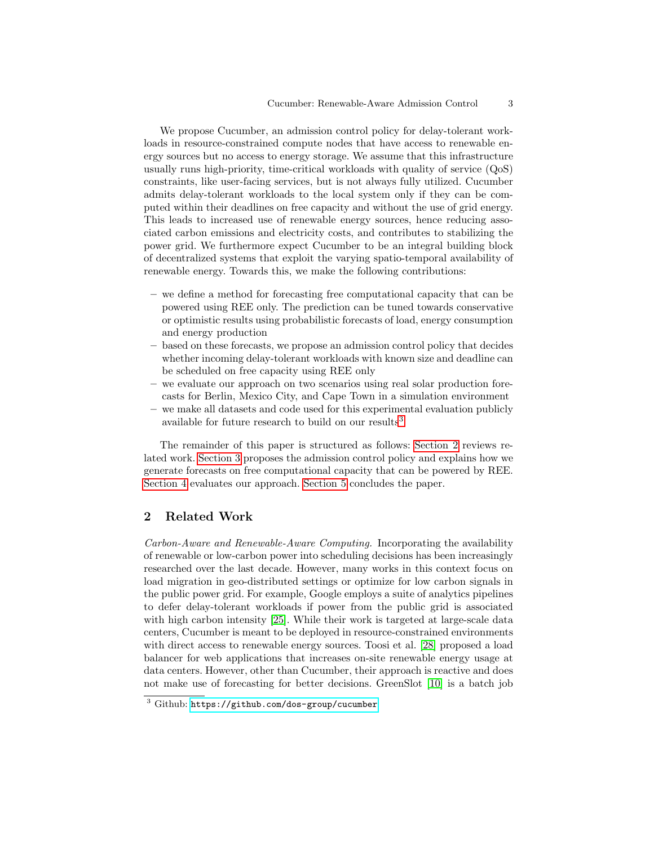We propose Cucumber, an admission control policy for delay-tolerant workloads in resource-constrained compute nodes that have access to renewable energy sources but no access to energy storage. We assume that this infrastructure usually runs high-priority, time-critical workloads with quality of service (QoS) constraints, like user-facing services, but is not always fully utilized. Cucumber admits delay-tolerant workloads to the local system only if they can be computed within their deadlines on free capacity and without the use of grid energy. This leads to increased use of renewable energy sources, hence reducing associated carbon emissions and electricity costs, and contributes to stabilizing the power grid. We furthermore expect Cucumber to be an integral building block of decentralized systems that exploit the varying spatio-temporal availability of renewable energy. Towards this, we make the following contributions:

- we define a method for forecasting free computational capacity that can be powered using REE only. The prediction can be tuned towards conservative or optimistic results using probabilistic forecasts of load, energy consumption and energy production
- based on these forecasts, we propose an admission control policy that decides whether incoming delay-tolerant workloads with known size and deadline can be scheduled on free capacity using REE only
- we evaluate our approach on two scenarios using real solar production forecasts for Berlin, Mexico City, and Cape Town in a simulation environment
- we make all datasets and code used for this experimental evaluation publicly available for future research to build on our results<sup>[3](#page-2-0)</sup>

The remainder of this paper is structured as follows: [Section 2](#page-2-1) reviews related work. [Section 3](#page-3-0) proposes the admission control policy and explains how we generate forecasts on free computational capacity that can be powered by REE. [Section 4](#page-8-0) evaluates our approach. [Section 5](#page-12-0) concludes the paper.

# <span id="page-2-1"></span>2 Related Work

Carbon-Aware and Renewable-Aware Computing. Incorporating the availability of renewable or low-carbon power into scheduling decisions has been increasingly researched over the last decade. However, many works in this context focus on load migration in geo-distributed settings or optimize for low carbon signals in the public power grid. For example, Google employs a suite of analytics pipelines to defer delay-tolerant workloads if power from the public grid is associated with high carbon intensity [\[25\]](#page-14-5). While their work is targeted at large-scale data centers, Cucumber is meant to be deployed in resource-constrained environments with direct access to renewable energy sources. Toosi et al. [\[28\]](#page-14-6) proposed a load balancer for web applications that increases on-site renewable energy usage at data centers. However, other than Cucumber, their approach is reactive and does not make use of forecasting for better decisions. GreenSlot [\[10\]](#page-13-6) is a batch job

<span id="page-2-0"></span><sup>3</sup> Github: <https://github.com/dos-group/cucumber>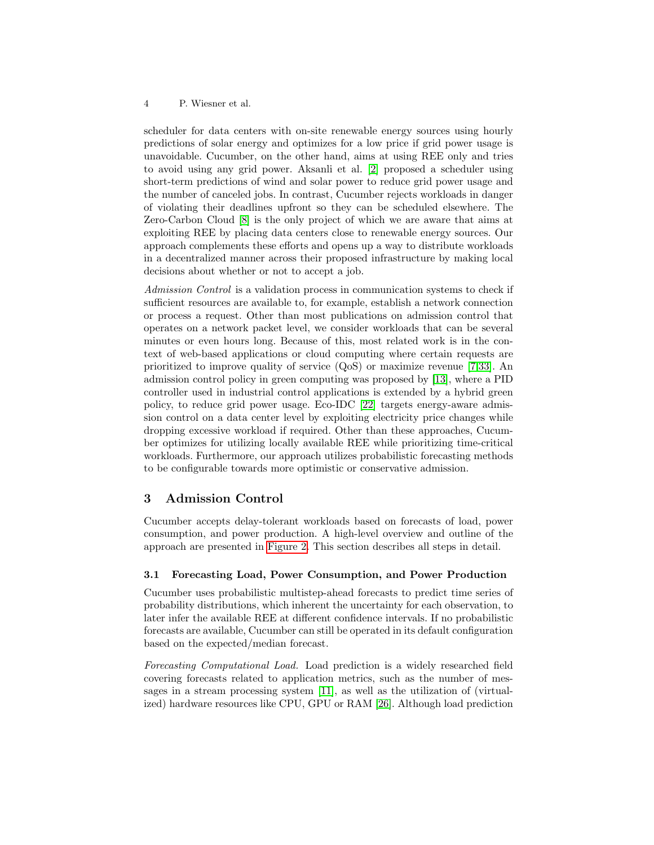scheduler for data centers with on-site renewable energy sources using hourly predictions of solar energy and optimizes for a low price if grid power usage is unavoidable. Cucumber, on the other hand, aims at using REE only and tries to avoid using any grid power. Aksanli et al. [\[2\]](#page-13-7) proposed a scheduler using short-term predictions of wind and solar power to reduce grid power usage and the number of canceled jobs. In contrast, Cucumber rejects workloads in danger of violating their deadlines upfront so they can be scheduled elsewhere. The Zero-Carbon Cloud [\[8\]](#page-13-8) is the only project of which we are aware that aims at exploiting REE by placing data centers close to renewable energy sources. Our approach complements these efforts and opens up a way to distribute workloads in a decentralized manner across their proposed infrastructure by making local decisions about whether or not to accept a job.

Admission Control is a validation process in communication systems to check if sufficient resources are available to, for example, establish a network connection or process a request. Other than most publications on admission control that operates on a network packet level, we consider workloads that can be several minutes or even hours long. Because of this, most related work is in the context of web-based applications or cloud computing where certain requests are prioritized to improve quality of service (QoS) or maximize revenue [\[7](#page-13-9)[,33\]](#page-14-7). An admission control policy in green computing was proposed by [\[13\]](#page-13-10), where a PID controller used in industrial control applications is extended by a hybrid green policy, to reduce grid power usage. Eco-IDC [\[22\]](#page-14-8) targets energy-aware admission control on a data center level by exploiting electricity price changes while dropping excessive workload if required. Other than these approaches, Cucumber optimizes for utilizing locally available REE while prioritizing time-critical workloads. Furthermore, our approach utilizes probabilistic forecasting methods to be configurable towards more optimistic or conservative admission.

# <span id="page-3-0"></span>3 Admission Control

Cucumber accepts delay-tolerant workloads based on forecasts of load, power consumption, and power production. A high-level overview and outline of the approach are presented in [Figure 2.](#page-4-0) This section describes all steps in detail.

## 3.1 Forecasting Load, Power Consumption, and Power Production

Cucumber uses probabilistic multistep-ahead forecasts to predict time series of probability distributions, which inherent the uncertainty for each observation, to later infer the available REE at different confidence intervals. If no probabilistic forecasts are available, Cucumber can still be operated in its default configuration based on the expected/median forecast.

Forecasting Computational Load. Load prediction is a widely researched field covering forecasts related to application metrics, such as the number of messages in a stream processing system [\[11\]](#page-13-11), as well as the utilization of (virtualized) hardware resources like CPU, GPU or RAM [\[26\]](#page-14-9). Although load prediction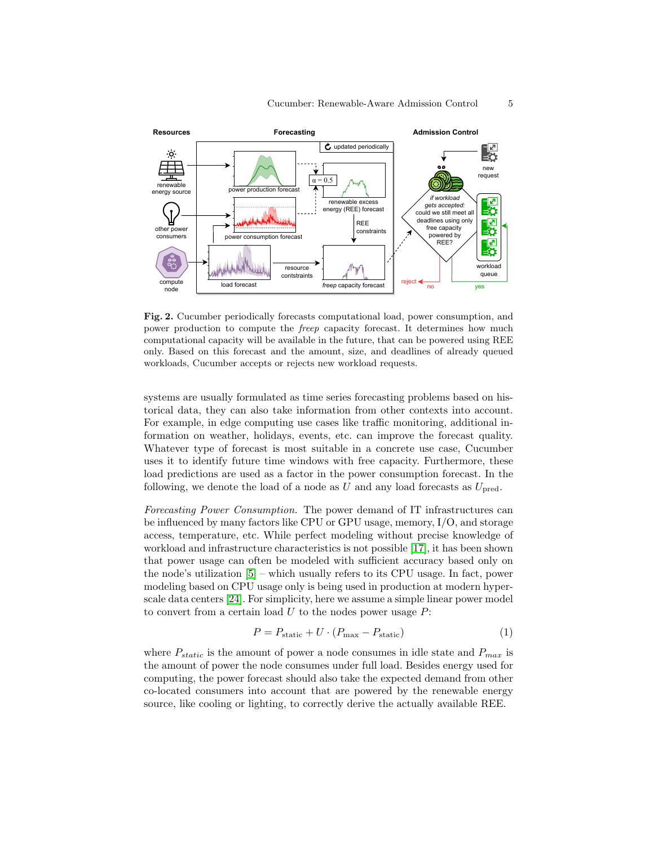

<span id="page-4-0"></span>Fig. 2. Cucumber periodically forecasts computational load, power consumption, and power production to compute the freep capacity forecast. It determines how much computational capacity will be available in the future, that can be powered using REE only. Based on this forecast and the amount, size, and deadlines of already queued workloads, Cucumber accepts or rejects new workload requests.

systems are usually formulated as time series forecasting problems based on historical data, they can also take information from other contexts into account. For example, in edge computing use cases like traffic monitoring, additional information on weather, holidays, events, etc. can improve the forecast quality. Whatever type of forecast is most suitable in a concrete use case, Cucumber uses it to identify future time windows with free capacity. Furthermore, these load predictions are used as a factor in the power consumption forecast. In the following, we denote the load of a node as  $U$  and any load forecasts as  $U_{\text{pred}}$ .

Forecasting Power Consumption. The power demand of IT infrastructures can be influenced by many factors like CPU or GPU usage, memory, I/O, and storage access, temperature, etc. While perfect modeling without precise knowledge of workload and infrastructure characteristics is not possible [\[17\]](#page-13-12), it has been shown that power usage can often be modeled with sufficient accuracy based only on the node's utilization [\[5\]](#page-13-13) – which usually refers to its CPU usage. In fact, power modeling based on CPU usage only is being used in production at modern hyperscale data centers [\[24\]](#page-14-10). For simplicity, here we assume a simple linear power model to convert from a certain load  $U$  to the nodes power usage  $P$ :

<span id="page-4-1"></span>
$$
P = P_{\text{static}} + U \cdot (P_{\text{max}} - P_{\text{static}}) \tag{1}
$$

where  $P_{static}$  is the amount of power a node consumes in idle state and  $P_{max}$  is the amount of power the node consumes under full load. Besides energy used for computing, the power forecast should also take the expected demand from other co-located consumers into account that are powered by the renewable energy source, like cooling or lighting, to correctly derive the actually available REE.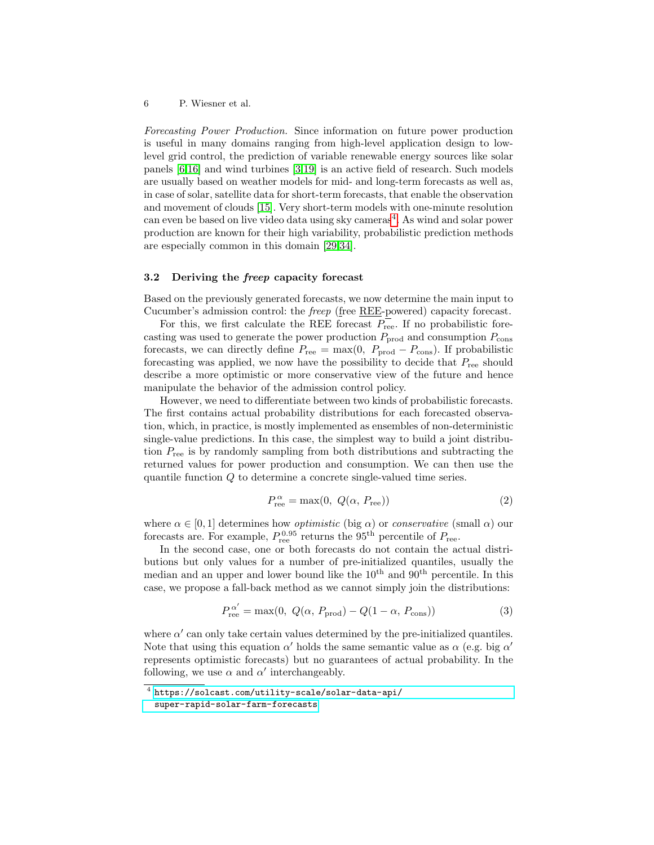Forecasting Power Production. Since information on future power production is useful in many domains ranging from high-level application design to lowlevel grid control, the prediction of variable renewable energy sources like solar panels [\[6,](#page-13-14)[16\]](#page-13-15) and wind turbines [\[3,](#page-13-16)[19\]](#page-13-17) is an active field of research. Such models are usually based on weather models for mid- and long-term forecasts as well as, in case of solar, satellite data for short-term forecasts, that enable the observation and movement of clouds [\[15\]](#page-13-18). Very short-term models with one-minute resolution can even be based on live video data using sky cameras<sup>[4](#page-5-0)</sup>. As wind and solar power production are known for their high variability, probabilistic prediction methods are especially common in this domain [\[29](#page-14-11)[,34\]](#page-14-12).

#### 3.2 Deriving the freep capacity forecast

Based on the previously generated forecasts, we now determine the main input to Cucumber's admission control: the freep (free REE-powered) capacity forecast.

For this, we first calculate the REE forecast  $P_{\text{rec}}$ . If no probabilistic forecasting was used to generate the power production  $P_{\text{prod}}$  and consumption  $P_{\text{cons}}$ forecasts, we can directly define  $P_{\text{ree}} = \max(0, P_{\text{prod}} - P_{\text{cons}})$ . If probabilistic forecasting was applied, we now have the possibility to decide that  $P_{\text{ree}}$  should describe a more optimistic or more conservative view of the future and hence manipulate the behavior of the admission control policy.

However, we need to differentiate between two kinds of probabilistic forecasts. The first contains actual probability distributions for each forecasted observation, which, in practice, is mostly implemented as ensembles of non-deterministic single-value predictions. In this case, the simplest way to build a joint distribution  $P_{\text{ree}}$  is by randomly sampling from both distributions and subtracting the returned values for power production and consumption. We can then use the quantile function Q to determine a concrete single-valued time series.

$$
P_{\text{ree}}^{\alpha} = \max(0, \ Q(\alpha, P_{\text{ree}}))
$$
\n<sup>(2)</sup>

where  $\alpha \in [0,1]$  determines how *optimistic* (big  $\alpha$ ) or *conservative* (small  $\alpha$ ) our forecasts are. For example,  $P_{\text{ree}}^{0.95}$  returns the 95<sup>th</sup> percentile of  $P_{\text{ree}}$ .

In the second case, one or both forecasts do not contain the actual distributions but only values for a number of pre-initialized quantiles, usually the median and an upper and lower bound like the  $10<sup>th</sup>$  and  $90<sup>th</sup>$  percentile. In this case, we propose a fall-back method as we cannot simply join the distributions:

$$
P_{\text{ree}}^{\alpha'} = \max(0, \ Q(\alpha, P_{\text{prod}}) - Q(1 - \alpha, P_{\text{cons}}))
$$
\n(3)

where  $\alpha'$  can only take certain values determined by the pre-initialized quantiles. Note that using this equation  $\alpha'$  holds the same semantic value as  $\alpha$  (e.g. big  $\alpha'$ represents optimistic forecasts) but no guarantees of actual probability. In the following, we use  $\alpha$  and  $\alpha'$  interchangeably.

<span id="page-5-0"></span><sup>4</sup> [https://solcast.com/utility-scale/solar-data-api/](https://solcast.com/utility-scale/solar-data-api/super-rapid-solar-farm-forecasts)

[super-rapid-solar-farm-forecasts](https://solcast.com/utility-scale/solar-data-api/super-rapid-solar-farm-forecasts)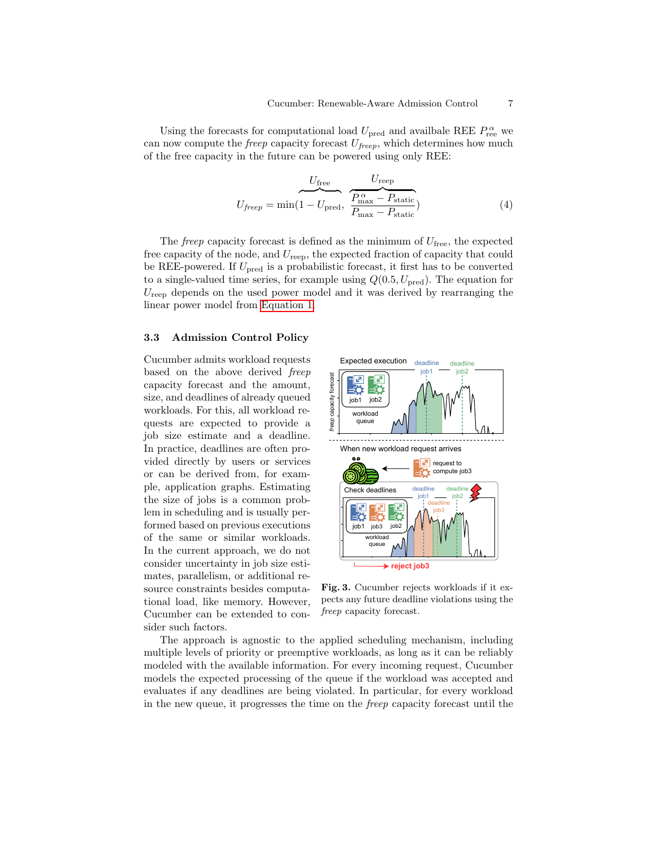Using the forecasts for computational load  $U_{\rm pred}$  and availbale REE  $P_{\rm rec}^{\,\alpha}$  we can now compute the *freep* capacity forecast  $U_{freep}$ , which determines how much of the free capacity in the future can be powered using only REE:

$$
U_{freep} = \min(1 - U_{pred}, \frac{U_{reep}}{P_{max} - P_{static}})
$$
(4)

The *freep* capacity forecast is defined as the minimum of  $U_{\text{free}}$ , the expected free capacity of the node, and  $U_{\text{reep}}$ , the expected fraction of capacity that could be REE-powered. If  $U_{\text{pred}}$  is a probabilistic forecast, it first has to be converted to a single-valued time series, for example using  $Q(0.5, U_{pred})$ . The equation for  $U_{\text{reep}}$  depends on the used power model and it was derived by rearranging the linear power model from [Equation 1.](#page-4-1)

#### 3.3 Admission Control Policy

Cucumber admits workload requests based on the above derived freep capacity forecast and the amount, size, and deadlines of already queued workloads. For this, all workload requests are expected to provide a job size estimate and a deadline. In practice, deadlines are often provided directly by users or services or can be derived from, for example, application graphs. Estimating the size of jobs is a common problem in scheduling and is usually performed based on previous executions of the same or similar workloads. In the current approach, we do not consider uncertainty in job size estimates, parallelism, or additional resource constraints besides computational load, like memory. However, Cucumber can be extended to consider such factors.



Fig. 3. Cucumber rejects workloads if it expects any future deadline violations using the freep capacity forecast.

The approach is agnostic to the applied scheduling mechanism, including multiple levels of priority or preemptive workloads, as long as it can be reliably modeled with the available information. For every incoming request, Cucumber models the expected processing of the queue if the workload was accepted and evaluates if any deadlines are being violated. In particular, for every workload in the new queue, it progresses the time on the freep capacity forecast until the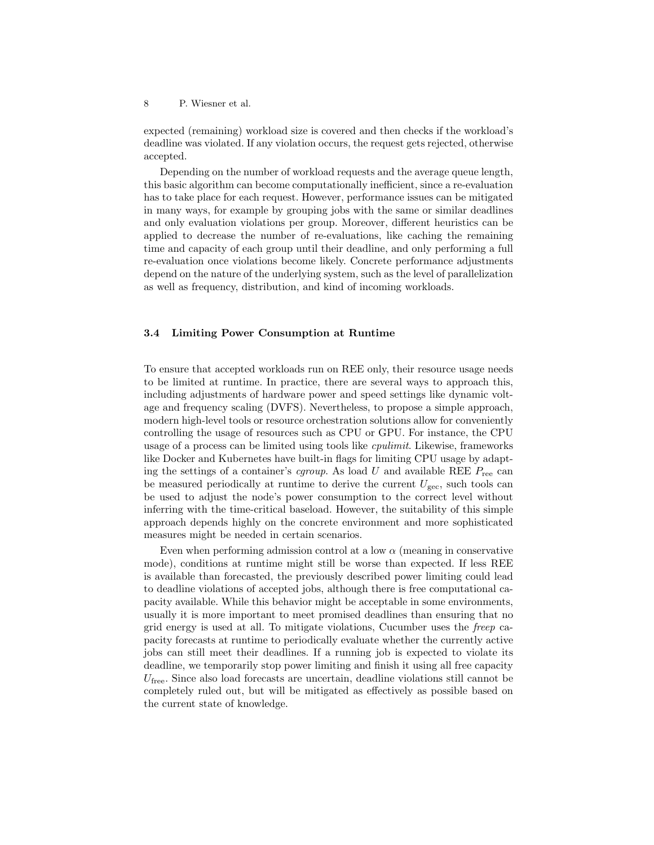expected (remaining) workload size is covered and then checks if the workload's deadline was violated. If any violation occurs, the request gets rejected, otherwise accepted.

Depending on the number of workload requests and the average queue length, this basic algorithm can become computationally inefficient, since a re-evaluation has to take place for each request. However, performance issues can be mitigated in many ways, for example by grouping jobs with the same or similar deadlines and only evaluation violations per group. Moreover, different heuristics can be applied to decrease the number of re-evaluations, like caching the remaining time and capacity of each group until their deadline, and only performing a full re-evaluation once violations become likely. Concrete performance adjustments depend on the nature of the underlying system, such as the level of parallelization as well as frequency, distribution, and kind of incoming workloads.

#### 3.4 Limiting Power Consumption at Runtime

To ensure that accepted workloads run on REE only, their resource usage needs to be limited at runtime. In practice, there are several ways to approach this, including adjustments of hardware power and speed settings like dynamic voltage and frequency scaling (DVFS). Nevertheless, to propose a simple approach, modern high-level tools or resource orchestration solutions allow for conveniently controlling the usage of resources such as CPU or GPU. For instance, the CPU usage of a process can be limited using tools like cpulimit. Likewise, frameworks like Docker and Kubernetes have built-in flags for limiting CPU usage by adapting the settings of a container's *cgroup*. As load  $U$  and available REE  $P_{\text{ree}}$  can be measured periodically at runtime to derive the current  $U_{\text{rec}}$ , such tools can be used to adjust the node's power consumption to the correct level without inferring with the time-critical baseload. However, the suitability of this simple approach depends highly on the concrete environment and more sophisticated measures might be needed in certain scenarios.

Even when performing admission control at a low  $\alpha$  (meaning in conservative mode), conditions at runtime might still be worse than expected. If less REE is available than forecasted, the previously described power limiting could lead to deadline violations of accepted jobs, although there is free computational capacity available. While this behavior might be acceptable in some environments, usually it is more important to meet promised deadlines than ensuring that no grid energy is used at all. To mitigate violations, Cucumber uses the freep capacity forecasts at runtime to periodically evaluate whether the currently active jobs can still meet their deadlines. If a running job is expected to violate its deadline, we temporarily stop power limiting and finish it using all free capacity  $U_{\text{free}}$ . Since also load forecasts are uncertain, deadline violations still cannot be completely ruled out, but will be mitigated as effectively as possible based on the current state of knowledge.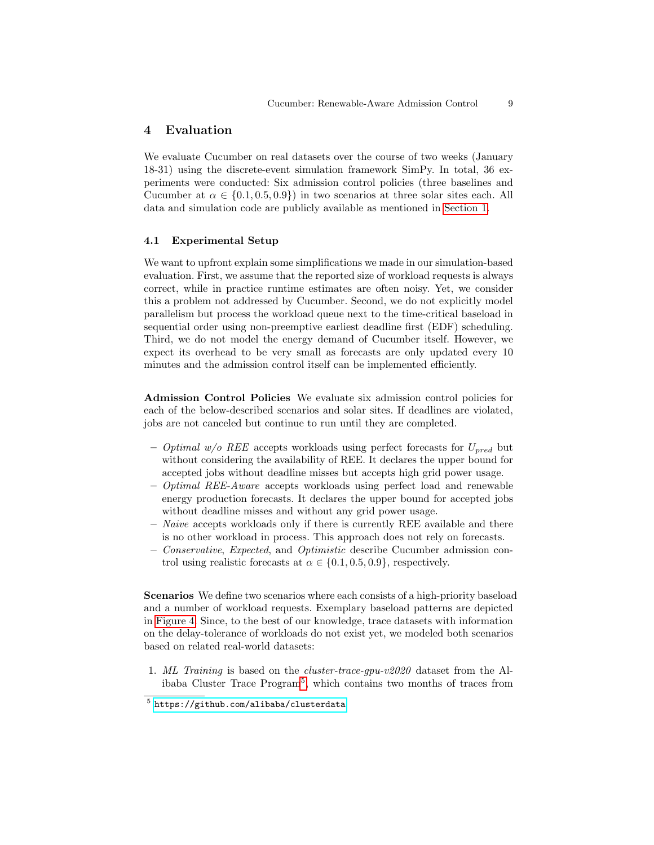## <span id="page-8-0"></span>4 Evaluation

We evaluate Cucumber on real datasets over the course of two weeks (January 18-31) using the discrete-event simulation framework SimPy. In total, 36 experiments were conducted: Six admission control policies (three baselines and Cucumber at  $\alpha \in \{0.1, 0.5, 0.9\}$  in two scenarios at three solar sites each. All data and simulation code are publicly available as mentioned in [Section 1.](#page-0-0)

#### 4.1 Experimental Setup

We want to upfront explain some simplifications we made in our simulation-based evaluation. First, we assume that the reported size of workload requests is always correct, while in practice runtime estimates are often noisy. Yet, we consider this a problem not addressed by Cucumber. Second, we do not explicitly model parallelism but process the workload queue next to the time-critical baseload in sequential order using non-preemptive earliest deadline first (EDF) scheduling. Third, we do not model the energy demand of Cucumber itself. However, we expect its overhead to be very small as forecasts are only updated every 10 minutes and the admission control itself can be implemented efficiently.

Admission Control Policies We evaluate six admission control policies for each of the below-described scenarios and solar sites. If deadlines are violated, jobs are not canceled but continue to run until they are completed.

- Optimal  $w/o$  REE accepts workloads using perfect forecasts for  $U_{pred}$  but without considering the availability of REE. It declares the upper bound for accepted jobs without deadline misses but accepts high grid power usage.
- $-$  *Optimal REE-Aware* accepts workloads using perfect load and renewable energy production forecasts. It declares the upper bound for accepted jobs without deadline misses and without any grid power usage.
- $-$  Naive accepts workloads only if there is currently REE available and there is no other workload in process. This approach does not rely on forecasts.
- Conservative, Expected, and Optimistic describe Cucumber admission control using realistic forecasts at  $\alpha \in \{0.1, 0.5, 0.9\}$ , respectively.

Scenarios We define two scenarios where each consists of a high-priority baseload and a number of workload requests. Exemplary baseload patterns are depicted in [Figure 4.](#page-9-0) Since, to the best of our knowledge, trace datasets with information on the delay-tolerance of workloads do not exist yet, we modeled both scenarios based on related real-world datasets:

1. ML Training is based on the cluster-trace-gpu-v2020 dataset from the Alibaba Cluster Trace Program[5](#page-8-1) , which contains two months of traces from

<span id="page-8-1"></span> $^5$ <https://github.com/alibaba/clusterdata>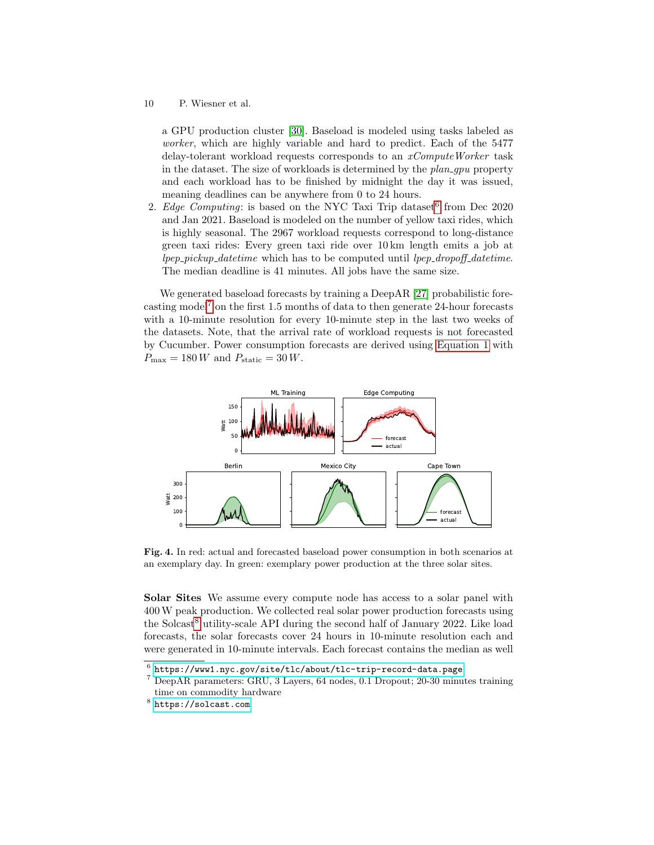a GPU production cluster [\[30\]](#page-14-13). Baseload is modeled using tasks labeled as worker, which are highly variable and hard to predict. Each of the 5477 delay-tolerant workload requests corresponds to an xComputeWorker task in the dataset. The size of workloads is determined by the  $plan\_qpu$  property and each workload has to be finished by midnight the day it was issued, meaning deadlines can be anywhere from 0 to 24 hours.

2. Edge Computing: is based on the NYC Taxi Trip dataset  $6$  from Dec 2020 and Jan 2021. Baseload is modeled on the number of yellow taxi rides, which is highly seasonal. The 2967 workload requests correspond to long-distance green taxi rides: Every green taxi ride over 10 km length emits a job at lpep\_pickup\_datetime which has to be computed until lpep\_dropoff\_datetime. The median deadline is 41 minutes. All jobs have the same size.

We generated baseload forecasts by training a DeepAR [\[27\]](#page-14-14) probabilistic forecasting model[7](#page-9-2) on the first 1.5 months of data to then generate 24-hour forecasts with a 10-minute resolution for every 10-minute step in the last two weeks of the datasets. Note, that the arrival rate of workload requests is not forecasted by Cucumber. Power consumption forecasts are derived using [Equation 1](#page-4-1) with  $P_{\text{max}} = 180 W$  and  $P_{\text{static}} = 30 W$ .



<span id="page-9-0"></span>Fig. 4. In red: actual and forecasted baseload power consumption in both scenarios at an exemplary day. In green: exemplary power production at the three solar sites.

Solar Sites We assume every compute node has access to a solar panel with 400W peak production. We collected real solar power production forecasts using the Solcast<sup>[8](#page-9-3)</sup> utility-scale API during the second half of January 2022. Like load forecasts, the solar forecasts cover 24 hours in 10-minute resolution each and were generated in 10-minute intervals. Each forecast contains the median as well

<span id="page-9-1"></span> $^6$ <https://www1.nyc.gov/site/tlc/about/tlc-trip-record-data.page>

<span id="page-9-2"></span><sup>7</sup> DeepAR parameters: GRU, 3 Layers, 64 nodes, 0.1 Dropout; 20-30 minutes training time on commodity hardware

<span id="page-9-3"></span><sup>8</sup> <https://solcast.com>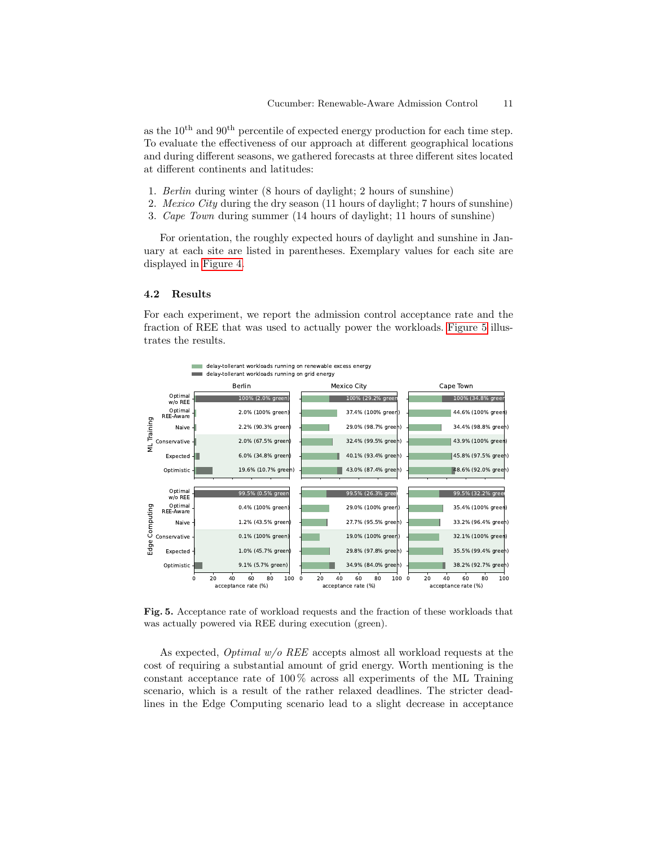as the  $10<sup>th</sup>$  and  $90<sup>th</sup>$  percentile of expected energy production for each time step. To evaluate the effectiveness of our approach at different geographical locations and during different seasons, we gathered forecasts at three different sites located at different continents and latitudes:

- 1. Berlin during winter (8 hours of daylight; 2 hours of sunshine)
- 2. Mexico City during the dry season (11 hours of daylight; 7 hours of sunshine)
- 3. Cape Town during summer (14 hours of daylight; 11 hours of sunshine)

For orientation, the roughly expected hours of daylight and sunshine in January at each site are listed in parentheses. Exemplary values for each site are displayed in [Figure 4.](#page-9-0)

#### 4.2 Results

For each experiment, we report the admission control acceptance rate and the fraction of REE that was used to actually power the workloads. [Figure 5](#page-10-0) illustrates the results.



<span id="page-10-0"></span>Fig. 5. Acceptance rate of workload requests and the fraction of these workloads that was actually powered via REE during execution (green).

As expected, *Optimal*  $w/o$  *REE* accepts almost all workload requests at the cost of requiring a substantial amount of grid energy. Worth mentioning is the constant acceptance rate of 100 % across all experiments of the ML Training scenario, which is a result of the rather relaxed deadlines. The stricter deadlines in the Edge Computing scenario lead to a slight decrease in acceptance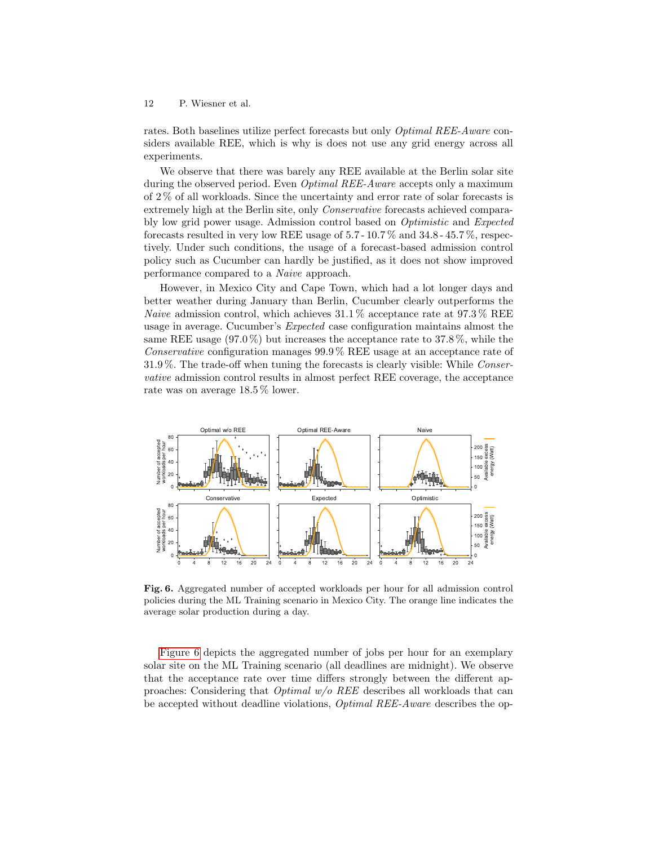rates. Both baselines utilize perfect forecasts but only Optimal REE-Aware considers available REE, which is why is does not use any grid energy across all experiments.

We observe that there was barely any REE available at the Berlin solar site during the observed period. Even *Optimal REE-Aware* accepts only a maximum of 2 % of all workloads. Since the uncertainty and error rate of solar forecasts is extremely high at the Berlin site, only Conservative forecasts achieved comparably low grid power usage. Admission control based on Optimistic and Expected forecasts resulted in very low REE usage of 5.7 - 10.7 % and 34.8 - 45.7 %, respectively. Under such conditions, the usage of a forecast-based admission control policy such as Cucumber can hardly be justified, as it does not show improved performance compared to a Naive approach.

However, in Mexico City and Cape Town, which had a lot longer days and better weather during January than Berlin, Cucumber clearly outperforms the *Naive* admission control, which achieves  $31.1\%$  acceptance rate at  $97.3\%$  REE usage in average. Cucumber's Expected case configuration maintains almost the same REE usage (97.0 %) but increases the acceptance rate to 37.8 %, while the Conservative configuration manages 99.9 % REE usage at an acceptance rate of 31.9 %. The trade-off when tuning the forecasts is clearly visible: While Conservative admission control results in almost perfect REE coverage, the acceptance rate was on average 18.5 % lower.



<span id="page-11-0"></span>Fig. 6. Aggregated number of accepted workloads per hour for all admission control policies during the ML Training scenario in Mexico City. The orange line indicates the average solar production during a day.

[Figure 6](#page-11-0) depicts the aggregated number of jobs per hour for an exemplary solar site on the ML Training scenario (all deadlines are midnight). We observe that the acceptance rate over time differs strongly between the different approaches: Considering that *Optimal*  $w/o$  *REE* describes all workloads that can be accepted without deadline violations, Optimal REE-Aware describes the op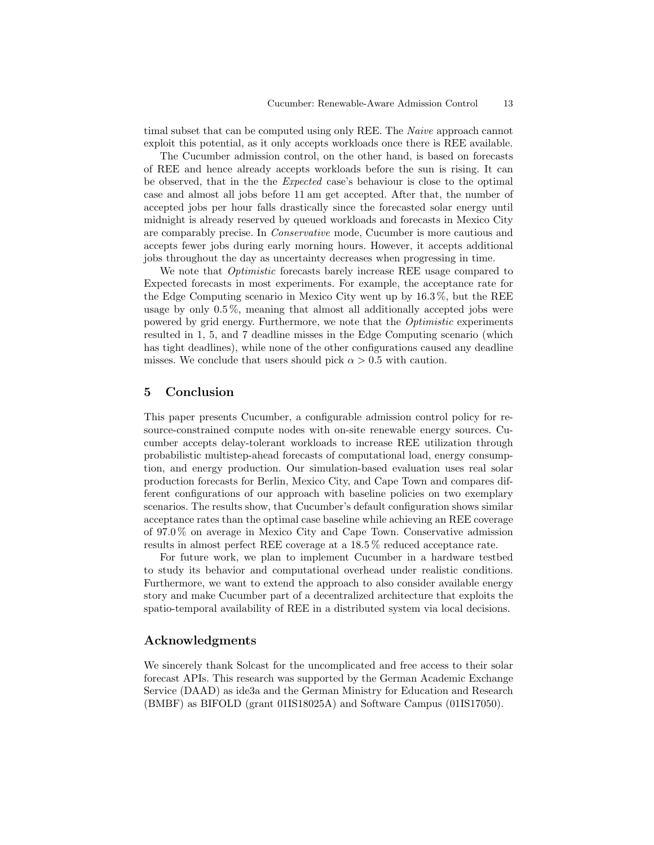timal subset that can be computed using only REE. The Naive approach cannot exploit this potential, as it only accepts workloads once there is REE available.

The Cucumber admission control, on the other hand, is based on forecasts of REE and hence already accepts workloads before the sun is rising. It can be observed, that in the the Expected case's behaviour is close to the optimal case and almost all jobs before 11 am get accepted. After that, the number of accepted jobs per hour falls drastically since the forecasted solar energy until midnight is already reserved by queued workloads and forecasts in Mexico City are comparably precise. In Conservative mode, Cucumber is more cautious and accepts fewer jobs during early morning hours. However, it accepts additional jobs throughout the day as uncertainty decreases when progressing in time.

We note that *Optimistic* forecasts barely increase REE usage compared to Expected forecasts in most experiments. For example, the acceptance rate for the Edge Computing scenario in Mexico City went up by 16.3 %, but the REE usage by only 0.5 %, meaning that almost all additionally accepted jobs were powered by grid energy. Furthermore, we note that the Optimistic experiments resulted in 1, 5, and 7 deadline misses in the Edge Computing scenario (which has tight deadlines), while none of the other configurations caused any deadline misses. We conclude that users should pick  $\alpha > 0.5$  with caution.

## <span id="page-12-0"></span>5 Conclusion

This paper presents Cucumber, a configurable admission control policy for resource-constrained compute nodes with on-site renewable energy sources. Cucumber accepts delay-tolerant workloads to increase REE utilization through probabilistic multistep-ahead forecasts of computational load, energy consumption, and energy production. Our simulation-based evaluation uses real solar production forecasts for Berlin, Mexico City, and Cape Town and compares different configurations of our approach with baseline policies on two exemplary scenarios. The results show, that Cucumber's default configuration shows similar acceptance rates than the optimal case baseline while achieving an REE coverage of 97.0 % on average in Mexico City and Cape Town. Conservative admission results in almost perfect REE coverage at a 18.5 % reduced acceptance rate.

For future work, we plan to implement Cucumber in a hardware testbed to study its behavior and computational overhead under realistic conditions. Furthermore, we want to extend the approach to also consider available energy story and make Cucumber part of a decentralized architecture that exploits the spatio-temporal availability of REE in a distributed system via local decisions.

## Acknowledgments

We sincerely thank Solcast for the uncomplicated and free access to their solar forecast APIs. This research was supported by the German Academic Exchange Service (DAAD) as ide3a and the German Ministry for Education and Research (BMBF) as BIFOLD (grant 01IS18025A) and Software Campus (01IS17050).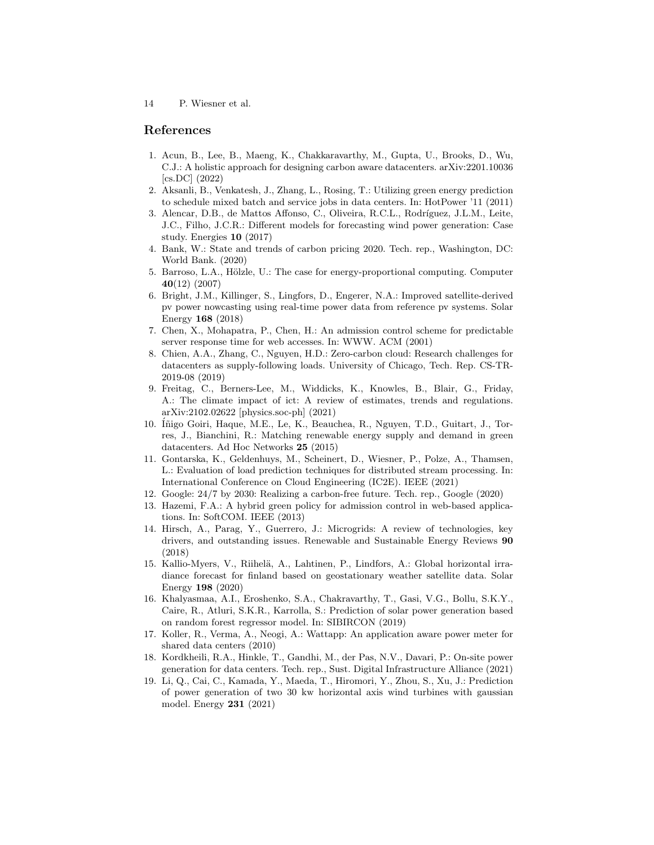# References

- <span id="page-13-1"></span>1. Acun, B., Lee, B., Maeng, K., Chakkaravarthy, M., Gupta, U., Brooks, D., Wu, C.J.: A holistic approach for designing carbon aware datacenters. arXiv:2201.10036 [cs.DC] (2022)
- <span id="page-13-7"></span>2. Aksanli, B., Venkatesh, J., Zhang, L., Rosing, T.: Utilizing green energy prediction to schedule mixed batch and service jobs in data centers. In: HotPower '11 (2011)
- <span id="page-13-16"></span>3. Alencar, D.B., de Mattos Affonso, C., Oliveira, R.C.L., Rodríguez, J.L.M., Leite, J.C., Filho, J.C.R.: Different models for forecasting wind power generation: Case study. Energies 10 (2017)
- <span id="page-13-2"></span>4. Bank, W.: State and trends of carbon pricing 2020. Tech. rep., Washington, DC: World Bank. (2020)
- <span id="page-13-13"></span>5. Barroso, L.A., Hölzle, U.: The case for energy-proportional computing. Computer 40(12) (2007)
- <span id="page-13-14"></span>6. Bright, J.M., Killinger, S., Lingfors, D., Engerer, N.A.: Improved satellite-derived pv power nowcasting using real-time power data from reference pv systems. Solar Energy 168 (2018)
- <span id="page-13-9"></span>7. Chen, X., Mohapatra, P., Chen, H.: An admission control scheme for predictable server response time for web accesses. In: WWW. ACM (2001)
- <span id="page-13-8"></span>8. Chien, A.A., Zhang, C., Nguyen, H.D.: Zero-carbon cloud: Research challenges for datacenters as supply-following loads. University of Chicago, Tech. Rep. CS-TR-2019-08 (2019)
- <span id="page-13-0"></span>9. Freitag, C., Berners-Lee, M., Widdicks, K., Knowles, B., Blair, G., Friday, A.: The climate impact of ict: A review of estimates, trends and regulations. arXiv:2102.02622 [physics.soc-ph] (2021)
- <span id="page-13-6"></span>10. Inigo Goiri, Haque, M.E., Le, K., Beauchea, R., Nguyen, T.D., Guitart, J., Torres, J., Bianchini, R.: Matching renewable energy supply and demand in green datacenters. Ad Hoc Networks 25 (2015)
- <span id="page-13-11"></span>11. Gontarska, K., Geldenhuys, M., Scheinert, D., Wiesner, P., Polze, A., Thamsen, L.: Evaluation of load prediction techniques for distributed stream processing. In: International Conference on Cloud Engineering (IC2E). IEEE (2021)
- <span id="page-13-3"></span>12. Google: 24/7 by 2030: Realizing a carbon-free future. Tech. rep., Google (2020)
- <span id="page-13-10"></span>13. Hazemi, F.A.: A hybrid green policy for admission control in web-based applications. In: SoftCOM. IEEE (2013)
- <span id="page-13-5"></span>14. Hirsch, A., Parag, Y., Guerrero, J.: Microgrids: A review of technologies, key drivers, and outstanding issues. Renewable and Sustainable Energy Reviews 90 (2018)
- <span id="page-13-18"></span>15. Kallio-Myers, V., Riihelä, A., Lahtinen, P., Lindfors, A.: Global horizontal irradiance forecast for finland based on geostationary weather satellite data. Solar Energy 198 (2020)
- <span id="page-13-15"></span>16. Khalyasmaa, A.I., Eroshenko, S.A., Chakravarthy, T., Gasi, V.G., Bollu, S.K.Y., Caire, R., Atluri, S.K.R., Karrolla, S.: Prediction of solar power generation based on random forest regressor model. In: SIBIRCON (2019)
- <span id="page-13-12"></span>17. Koller, R., Verma, A., Neogi, A.: Wattapp: An application aware power meter for shared data centers (2010)
- <span id="page-13-4"></span>18. Kordkheili, R.A., Hinkle, T., Gandhi, M., der Pas, N.V., Davari, P.: On-site power generation for data centers. Tech. rep., Sust. Digital Infrastructure Alliance (2021)
- <span id="page-13-17"></span>19. Li, Q., Cai, C., Kamada, Y., Maeda, T., Hiromori, Y., Zhou, S., Xu, J.: Prediction of power generation of two 30 kw horizontal axis wind turbines with gaussian model. Energy 231 (2021)